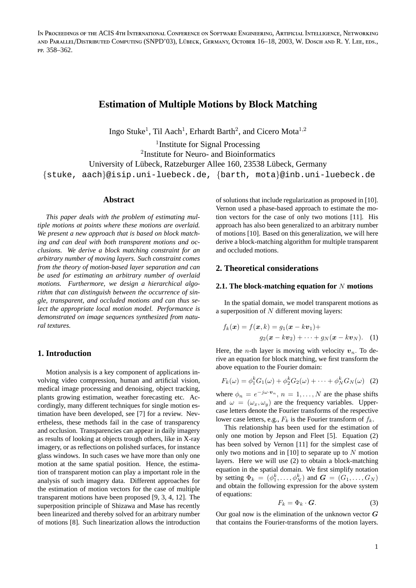IN PROCEEDINGS OF THE ACIS 4TH INTERNATIONAL CONFERENCE ON SOFTWARE ENGINEERING, ARTIFICIAL INTELLIGENCE, NETWORKING AND PARALLEL/DISTRIBUTED COMPUTING (SNPD'03), LÜBECK, GERMANY, OCTOBER 16-18, 2003, W. DOSCH AND R. Y. LEE, EDS., PP. 358-362.

# **Estimation of Multiple Motions by Block Matching**

Ingo Stuke<sup>1</sup>, Til Aach<sup>1</sup>, Erhardt Barth<sup>2</sup>, and Cicero Mota<sup>1,2</sup>

<sup>1</sup>Institute for Signal Processing 2 Institute for Neuro- and Bioinformatics University of Lübeck, Ratzeburger Allee 160, 23538 Lübeck, Germany {stuke, aach}@isip.uni-luebeck.de, {barth, mota}@inb.uni-luebeck.de

#### **Abstract**

*This paper deals with the problem of estimating multiple motions at points where these motions are overlaid. We present a new approach that is based on block matching and can deal with both transparent motions and occlusions. We derive a block matching constraint for an arbitrary number of moving layers. Such constraint comes from the theory of motion-based layer separation and can be used for estimating an arbitrary number of overlaid motions. Furthermore, we design a hierarchical algorithm that can distinguish between the occurrence of single, transparent, and occluded motions and can thus select the appropriate local motion model. Performance is demonstrated on image sequences synthesized from natural textures.*

### **1. Introduction**

Motion analysis is a key component of applications involving video compression, human and artificial vision, medical image processing and denoising, object tracking, plants growing estimation, weather forecasting etc. Accordingly, many different techniques for single motion estimation have been developed, see [7] for a review. Nevertheless, these methods fail in the case of transparency and occlusion. Transparencies can appear in daily imagery as results of looking at objects trough others, like in X-ray imagery, or as reflections on polished surfaces, for instance glass windows. In such cases we have more than only one motion at the same spatial position. Hence, the estimation of transparent motion can play a important role in the analysis of such imagery data. Different approaches for the estimation of motion vectors for the case of multiple transparent motions have been proposed [9, 3, 4, 12]. The superposition principle of Shizawa and Mase has recently been linearized and thereby solved for an arbitrary number of motions [8]. Such linearization allows the introduction of solutions that include regularization as proposed in [10]. Vernon used a phase-based approach to estimate the motion vectors for the case of only two motions [11]. His approach has also been generalized to an arbitrary number of motions [10]. Based on this generalization, we will here derive a block-matching algorithm for multiple transparent and occluded motions.

#### **2. Theoretical considerations**

### **2.1. The block-matching equation for** N **motions**

In the spatial domain, we model transparent motions as a superposition of N different moving layers:

$$
f_k(\boldsymbol{x}) = f(\boldsymbol{x}, k) = g_1(\boldsymbol{x} - k\boldsymbol{v}_1) +
$$

$$
g_2(\boldsymbol{x} - k\boldsymbol{v}_2) + \cdots + g_N(\boldsymbol{x} - k\boldsymbol{v}_N).
$$
 (1)

Here, the *n*-th layer is moving with velocity  $v_n$ . To derive an equation for block matching, we first transform the above equation to the Fourier domain:

$$
F_k(\omega) = \phi_1^k G_1(\omega) + \phi_2^k G_2(\omega) + \dots + \phi_N^k G_N(\omega)
$$
 (2)

where  $\phi_n = e^{-j\omega \cdot \mathbf{v}_n}$ ,  $n = 1, \dots, N$  are the phase shifts and  $\omega = (\omega_x, \omega_y)$  are the frequency variables. Uppercase letters denote the Fourier transforms of the respective lower case letters, e.g.,  $F_k$  is the Fourier transform of  $f_k$ .

This relationship has been used for the estimation of only one motion by Jepson and Fleet [5]. Equation (2) has been solved by Vernon [11] for the simplest case of only two motions and in  $[10]$  to separate up to N motion layers. Here we will use (2) to obtain a block-matching equation in the spatial domain. We first simplify notation by setting  $\Phi_k = (\phi_1^k, \dots, \phi_N^k)$  and  $G = (G_1, \dots, G_N)$ and obtain the following expression for the above system of equations:

$$
F_k = \Phi_k \cdot \mathbf{G}.\tag{3}
$$

Our goal now is the elimination of the unknown vector  $G$ that contains the Fourier-transforms of the motion layers.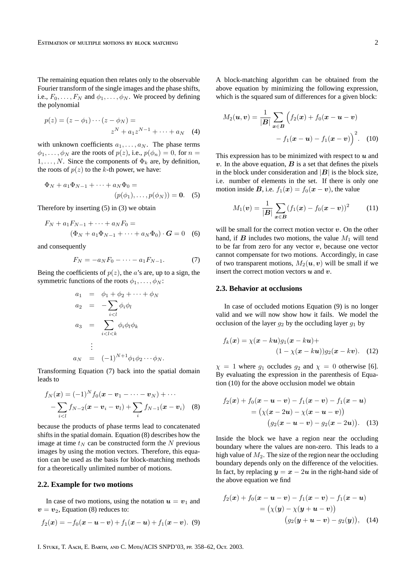The remaining equation then relates only to the observable Fourier transform of the single images and the phase shifts, i.e.,  $F_0, \ldots, F_N$  and  $\phi_1, \ldots, \phi_N$ . We proceed by defining the polynomial

$$
p(z) = (z - \phi_1) \cdots (z - \phi_N) =
$$
  

$$
z^N + a_1 z^{N-1} + \cdots + a_N \quad (4)
$$

with unknown coefficients  $a_1, \ldots, a_N$ . The phase terms  $\phi_1, \ldots, \phi_N$  are the roots of  $p(z)$ , i.e.,  $p(\phi_n) = 0$ , for  $n =$  $1, \ldots, N$ . Since the components of  $\Phi_k$  are, by definition, the roots of  $p(z)$  to the k-th power, we have:

$$
\Phi_N + a_1 \Phi_{N-1} + \dots + a_N \Phi_0 =
$$
  
(*p*(*\phi*<sub>1</sub>),..., *p*(*\phi*<sub>N</sub>)) = **0**. (5)

Therefore by inserting (5) in (3) we obtain

$$
F_N + a_1 F_{N-1} + \dots + a_N F_0 =
$$
  
\n
$$
(\Phi_N + a_1 \Phi_{N-1} + \dots + a_N \Phi_0) \cdot G = 0
$$
 (6)

and consequently

$$
F_N = -a_N F_0 - \dots - a_1 F_{N-1}.
$$
 (7)

Being the coefficients of  $p(z)$ , the a's are, up to a sign, the symmetric functions of the roots  $\phi_1, \ldots, \phi_N$ :

$$
a_1 = \phi_1 + \phi_2 + \dots + \phi_N
$$
  
\n
$$
a_2 = -\sum_{i < l} \phi_i \phi_l
$$
  
\n
$$
a_3 = \sum_{i < l < k} \phi_i \phi_l \phi_k
$$
  
\n
$$
\vdots
$$
  
\n
$$
a_N = (-1)^{N+1} \phi_1 \phi_2 \dots \phi_N.
$$

Transforming Equation (7) back into the spatial domain leads to

$$
f_N(\boldsymbol{x}) = (-1)^N f_0(\boldsymbol{x} - \boldsymbol{v}_1 - \cdots - \boldsymbol{v}_N) + \cdots
$$
  
- 
$$
\sum_{i < l} f_{N-2}(\boldsymbol{x} - \boldsymbol{v}_i - \boldsymbol{v}_l) + \sum_i f_{N-1}(\boldsymbol{x} - \boldsymbol{v}_i) \quad (8)
$$

because the products of phase terms lead to concatenated shifts in the spatial domain. Equation (8) describes how the image at time  $t_N$  can be constructed form the N previous images by using the motion vectors. Therefore, this equation can be used as the basis for block-matching methods for a theoretically unlimited number of motions.

### **2.2. Example for two motions**

In case of two motions, using the notation  $u = v_1$  and  $v = v_2$ , Equation (8) reduces to:

$$
f_2(x) = -f_0(x - u - v) + f_1(x - u) + f_1(x - v). \tag{9}
$$

A block-matching algorithm can be obtained from the above equation by minimizing the following expression, which is the squared sum of differences for a given block:

$$
M_2(\mathbf{u}, \mathbf{v}) = \frac{1}{|\mathbf{B}|} \sum_{\mathbf{x} \in \mathbf{B}} \left( f_2(\mathbf{x}) + f_0(\mathbf{x} - \mathbf{u} - \mathbf{v}) - f_1(\mathbf{x} - \mathbf{u}) - f_1(\mathbf{x} - \mathbf{v}) \right)^2.
$$
 (10)

This expression has to be minimized with respect to  $u$  and  $v$ . In the above equation,  $B$  is a set that defines the pixels in the block under consideration and  $|B|$  is the block size, i.e. number of elements in the set. If there is only one motion inside B, i.e.  $f_1(x) = f_0(x - v)$ , the value

$$
M_1(\mathbf{v}) = \frac{1}{|\mathbf{B}|} \sum_{\mathbf{x} \in \mathbf{B}} (f_1(\mathbf{x}) - f_0(\mathbf{x} - \mathbf{v}))^2 \tag{11}
$$

will be small for the correct motion vector  $v$ . On the other hand, if  $\mathbf B$  includes two motions, the value  $M_1$  will tend to be far from zero for any vector  $v$ , because one vector cannot compensate for two motions. Accordingly, in case of two transparent motions,  $M_2(\boldsymbol{u}, \boldsymbol{v})$  will be small if we insert the correct motion vectors  $u$  and  $v$ .

#### **2.3. Behavior at occlusions**

In case of occluded motions Equation (9) is no longer valid and we will now show how it fails. We model the occlusion of the layer  $g_2$  by the occluding layer  $g_1$  by

$$
f_k(\boldsymbol{x}) = \chi(\boldsymbol{x} - k\boldsymbol{u})g_1(\boldsymbol{x} - k\boldsymbol{u}) +
$$

$$
(1 - \chi(\boldsymbol{x} - k\boldsymbol{u}))g_2(\boldsymbol{x} - k\boldsymbol{v}). \quad (12)
$$

 $\chi = 1$  where  $g_1$  occludes  $g_2$  and  $\chi = 0$  otherwise [6]. By evaluating the expression in the parenthesis of Equation (10) for the above occlusion model we obtain

$$
f_2(x) + f_0(x - u - v) - f_1(x - v) - f_1(x - u)
$$
  
=  $(\chi(x - 2u) - \chi(x - u - v))$   
 $(g_2(x - u - v) - g_2(x - 2u)).$  (13)

Inside the block we have a region near the occluding boundary where the values are non-zero. This leads to a high value of  $M_2$ . The size of the region near the occluding boundary depends only on the difference of the velocities. In fact, by replacing  $y = x - 2u$  in the right-hand side of the above equation we find

$$
f_2(x) + f_0(x - u - v) - f_1(x - v) - f_1(x - u)
$$
  
=  $(\chi(y) - \chi(y + u - v))$   
 $(g_2(y + u - v) - g_2(y)),$  (14)

I. STUKE, T. AACH, E. BARTH, AND C. MOTA/ACIS SNPD'03, PP. 358-62, OCT. 2003.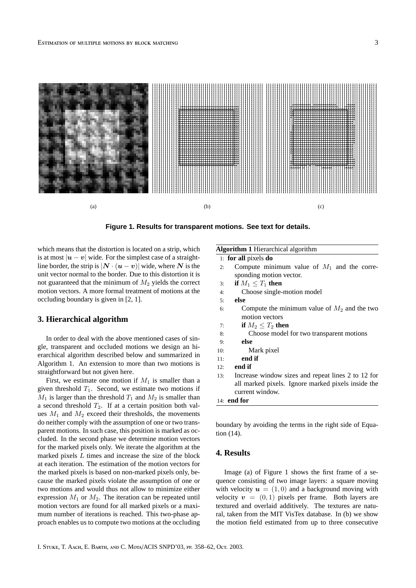

**Figure 1. Results for transparent motions. See text for details.**

which means that the distortion is located on a strip, which is at most  $|u - v|$  wide. For the simplest case of a straightline border, the strip is  $|N \cdot (u - v)|$  wide, where N is the unit vector normal to the border. Due to this distortion it is not guaranteed that the minimum of  $M_2$  yields the correct motion vectors. A more formal treatment of motions at the occluding boundary is given in [2, 1].

# **3. Hierarchical algorithm**

In order to deal with the above mentioned cases of single, transparent and occluded motions we design an hierarchical algorithm described below and summarized in Algorithm 1. An extension to more than two motions is straightforward but not given here.

First, we estimate one motion if  $M_1$  is smaller than a given threshold  $T_1$ . Second, we estimate two motions if  $M_1$  is larger than the threshold  $T_1$  and  $M_2$  is smaller than a second threshold  $T_2$ . If at a certain position both values  $M_1$  and  $M_2$  exceed their thresholds, the movements do neither comply with the assumption of one or two transparent motions. In such case, this position is marked as occluded. In the second phase we determine motion vectors for the marked pixels only. We iterate the algorithm at the marked pixels L times and increase the size of the block at each iteration. The estimation of the motion vectors for the marked pixels is based on non-marked pixels only, because the marked pixels violate the assumption of one or two motions and would thus not allow to minimize either expression  $M_1$  or  $M_2$ . The iteration can be repeated until motion vectors are found for all marked pixels or a maximum number of iterations is reached. This two-phase approach enables us to compute two motions at the occluding

# **Algorithm 1** Hierarchical algorithm

1: **for all** pixels **do**

- 2: Compute minimum value of  $M_1$  and the corresponding motion vector.
- 3: **if**  $M_1 \leq T_1$  **then**
- 4: Choose single-motion model
- 5: **else**
- 6: Compute the minimum value of  $M_2$  and the two motion vectors
- 7: **if**  $M_2 < T_2$  then
- 8: Choose model for two transparent motions
- 9: **else**
- 10: Mark pixel
- 11: **end if**
- 12: **end if**
- 13: Increase window sizes and repeat lines 2 to 12 for all marked pixels. Ignore marked pixels inside the current window.

```
14: end for
```
boundary by avoiding the terms in the right side of Equation (14).

### **4. Results**

Image (a) of Figure 1 shows the first frame of a sequence consisting of two image layers: a square moving with velocity  $u = (1, 0)$  and a background moving with velocity  $v = (0, 1)$  pixels per frame. Both layers are textured and overlaid additively. The textures are natural, taken from the MIT VisTex database. In (b) we show the motion field estimated from up to three consecutive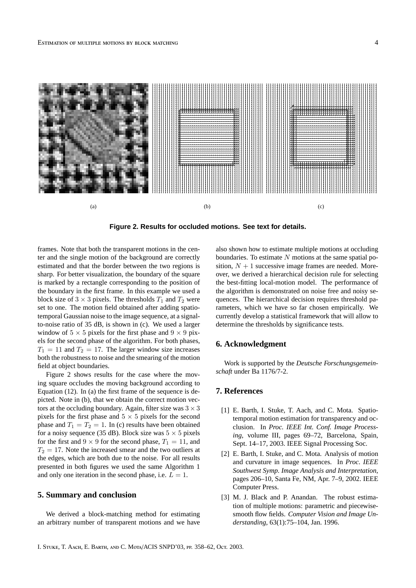

**Figure 2. Results for occluded motions. See text for details.**

frames. Note that both the transparent motions in the center and the single motion of the background are correctly estimated and that the border between the two regions is sharp. For better visualization, the boundary of the square is marked by a rectangle corresponding to the position of the boundary in the first frame. In this example we used a block size of  $3 \times 3$  pixels. The thresholds  $T_1$  and  $T_2$  were set to one. The motion field obtained after adding spatiotemporal Gaussian noise to the image sequence, at a signalto-noise ratio of 35 dB, is shown in (c). We used a larger window of  $5 \times 5$  pixels for the first phase and  $9 \times 9$  pixels for the second phase of the algorithm. For both phases,  $T_1 = 11$  and  $T_2 = 17$ . The larger window size increases both the robustness to noise and the smearing of the motion field at object boundaries.

Figure 2 shows results for the case where the moving square occludes the moving background according to Equation (12). In (a) the first frame of the sequence is depicted. Note in (b), that we obtain the correct motion vectors at the occluding boundary. Again, filter size was  $3 \times 3$ pixels for the first phase and  $5 \times 5$  pixels for the second phase and  $T_1 = T_2 = 1$ . In (c) results have been obtained for a noisy sequence (35 dB). Block size was  $5 \times 5$  pixels for the first and  $9 \times 9$  for the second phase,  $T_1 = 11$ , and  $T_2 = 17$ . Note the increased smear and the two outliers at the edges, which are both due to the noise. For all results presented in both figures we used the same Algorithm 1 and only one iteration in the second phase, i.e.  $L = 1$ .

# **5. Summary and conclusion**

We derived a block-matching method for estimating an arbitrary number of transparent motions and we have also shown how to estimate multiple motions at occluding boundaries. To estimate  $N$  motions at the same spatial position,  $N + 1$  successive image frames are needed. Moreover, we derived a hierarchical decision rule for selecting the best-fitting local-motion model. The performance of the algorithm is demonstrated on noise free and noisy sequences. The hierarchical decision requires threshold parameters, which we have so far chosen empirically. We currently develop a statistical framework that will allow to determine the thresholds by significance tests.

#### **6. Acknowledgment**

Work is supported by the *Deutsche Forschungsgemeinschaft* under Ba 1176/7-2.

# **7. References**

- [1] E. Barth, I. Stuke, T. Aach, and C. Mota. Spatiotemporal motion estimation for transparency and occlusion. In *Proc. IEEE Int. Conf. Image Processing*, volume III, pages 69–72, Barcelona, Spain, Sept. 14–17, 2003. IEEE Signal Processing Soc.
- [2] E. Barth, I. Stuke, and C. Mota. Analysis of motion and curvature in image sequences. In *Proc. IEEE Southwest Symp. Image Analysis and Interpretation*, pages 206–10, Santa Fe, NM, Apr. 7–9, 2002. IEEE Computer Press.
- [3] M. J. Black and P. Anandan. The robust estimation of multiple motions: parametric and piecewisesmooth flow fields. *Computer Vision and Image Understanding*, 63(1):75–104, Jan. 1996.